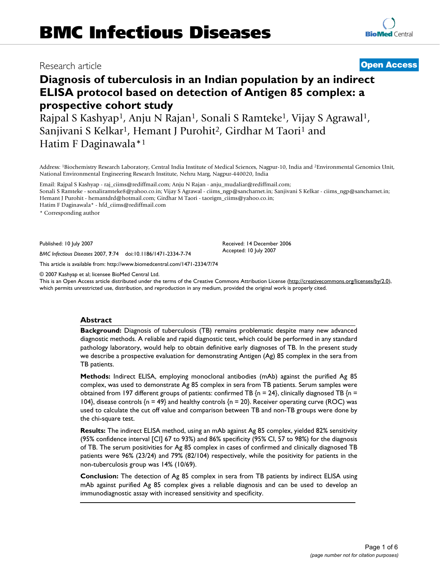# Research article **[Open Access](http://www.biomedcentral.com/info/about/charter/)**

# **Diagnosis of tuberculosis in an Indian population by an indirect ELISA protocol based on detection of Antigen 85 complex: a prospective cohort study**

Rajpal S Kashyap<sup>1</sup>, Anju N Rajan<sup>1</sup>, Sonali S Ramteke<sup>1</sup>, Vijay S Agrawal<sup>1</sup>, Sanjivani S Kelkar<sup>1</sup>, Hemant J Purohit<sup>2</sup>, Girdhar M Taori<sup>1</sup> and Hatim F Daginawala\*1

Address: 1Biochemistry Research Laboratory, Central India Institute of Medical Sciences, Nagpur-10, India and 2Environmental Genomics Unit, National Environmental Engineering Research Institute, Nehru Marg, Nagpur-440020, India

Email: Rajpal S Kashyap - raj\_ciims@rediffmail.com; Anju N Rajan - anju\_mudaliar@rediffmail.com; Sonali S Ramteke - sonaliramteke8@yahoo.co.in; Vijay S Agrawal - ciims\_ngp@sancharnet.in; Sanjivani S Kelkar - ciims\_ngp@sancharnet.in; Hemant J Purohit - hemantdrd@hotmail.com; Girdhar M Taori - taorigm\_ciims@yahoo.co.in;

Hatim F Daginawala\* - hfd\_ciims@rediffmail.com

\* Corresponding author

Published: 10 July 2007

*BMC Infectious Diseases* 2007, **7**:74 doi:10.1186/1471-2334-7-74

[This article is available from: http://www.biomedcentral.com/1471-2334/7/74](http://www.biomedcentral.com/1471-2334/7/74)

© 2007 Kashyap et al; licensee BioMed Central Ltd.

This is an Open Access article distributed under the terms of the Creative Commons Attribution License [\(http://creativecommons.org/licenses/by/2.0\)](http://creativecommons.org/licenses/by/2.0), which permits unrestricted use, distribution, and reproduction in any medium, provided the original work is properly cited.

# **Abstract**

**Background:** Diagnosis of tuberculosis (TB) remains problematic despite many new advanced diagnostic methods. A reliable and rapid diagnostic test, which could be performed in any standard pathology laboratory, would help to obtain definitive early diagnoses of TB. In the present study we describe a prospective evaluation for demonstrating Antigen (Ag) 85 complex in the sera from TB patients.

**Methods:** Indirect ELISA, employing monoclonal antibodies (mAb) against the purified Ag 85 complex, was used to demonstrate Ag 85 complex in sera from TB patients. Serum samples were obtained from 197 different groups of patients: confirmed TB  $\{n = 24\}$ , clinically diagnosed TB  $\{n =$ 104}, disease controls  $\{n = 49\}$  and healthy controls  $\{n = 20\}$ . Receiver operating curve (ROC) was used to calculate the cut off value and comparison between TB and non-TB groups were done by the chi-square test.

**Results:** The indirect ELISA method, using an mAb against Ag 85 complex, yielded 82% sensitivity (95% confidence interval [CI] 67 to 93%) and 86% specificity (95% CI, 57 to 98%) for the diagnosis of TB. The serum positivities for Ag 85 complex in cases of confirmed and clinically diagnosed TB patients were 96% (23/24) and 79% (82/104) respectively, while the positivity for patients in the non-tuberculosis group was 14% (10/69).

**Conclusion:** The detection of Ag 85 complex in sera from TB patients by indirect ELISA using mAb against purified Ag 85 complex gives a reliable diagnosis and can be used to develop an immunodiagnostic assay with increased sensitivity and specificity.

Received: 14 December 2006 Accepted: 10 July 2007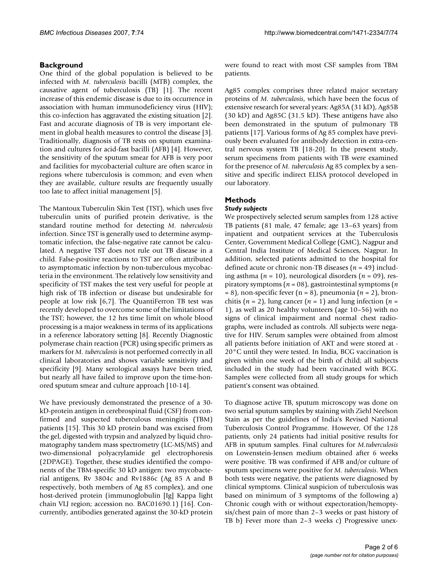# **Background**

One third of the global population is believed to be infected with *M. tuberculosis* bacilli (MTB) complex, the causative agent of tuberculosis (TB) [1]. The recent increase of this endemic disease is due to its occurrence in association with human immunodeficiency virus (HIV); this co-infection has aggravated the existing situation [2]. Fast and accurate diagnosis of TB is very important element in global health measures to control the disease [3]. Traditionally, diagnosis of TB rests on sputum examination and cultures for acid-fast bacilli (AFB) [4]. However, the sensitivity of the sputum smear for AFB is very poor and facilities for mycobacterial culture are often scarce in regions where tuberculosis is common; and even when they are available, culture results are frequently usually too late to affect initial management [5].

The Mantoux Tuberculin Skin Test (TST), which uses five tuberculin units of purified protein derivative, is the standard routine method for detecting *M. tuberculosis* infection. Since TST is generally used to determine asymptomatic infection, the false-negative rate cannot be calculated. A negative TST does not rule out TB disease in a child. False-positive reactions to TST are often attributed to asymptomatic infection by non-tuberculous mycobacteria in the environment. The relatively low sensitivity and specificity of TST makes the test very useful for people at high risk of TB infection or disease but undesirable for people at low risk [6,7]. The QuantiFerron TB test was recently developed to overcome some of the limitations of the TST; however, the 12 hrs time limit on whole blood processing is a major weakness in terms of its applications in a reference laboratory setting [8]. Recently Diagnostic polymerase chain reaction (PCR) using specific primers as markers for *M. tuberculosis* is not performed correctly in all clinical laboratories and shows variable sensitivity and specificity [9]. Many serological assays have been tried, but nearly all have failed to improve upon the time-honored sputum smear and culture approach [10-14].

We have previously demonstrated the presence of a 30 kD-protein antigen in cerebrospinal fluid (CSF) from confirmed and suspected tuberculous meningitis (TBM) patients [15]. This 30 kD protein band was excised from the gel, digested with trypsin and analyzed by liquid chromatography tandem mass spectrometry (LC-MS/MS) and two-dimensional polyacrylamide gel electrophoresis (2DPAGE). Together, these studies identified the components of the TBM-specific 30 kD antigen: two mycobacterial antigens, Rv 3804c and Rv1886c (Ag 85 A and B respectively, both members of Ag 85 complex), and one host-derived protein (immunoglobulin [Ig] Kappa light chain VLJ region; accession no. BAC01690.1) [16]. Concurrently, antibodies generated against the 30-kD protein

were found to react with most CSF samples from TBM patients.

Ag85 complex comprises three related major secretary proteins of *M. tuberculosis*, which have been the focus of extensive research for several years: Ag85A (31 kD), Ag85B (30 kD) and Ag85C (31.5 kD). These antigens have also been demonstrated in the sputum of pulmonary TB patients [17]. Various forms of Ag 85 complex have previously been evaluated for antibody detection in extra-central nervous system TB [18-20]. In the present study, serum specimens from patients with TB were examined for the presence of *M. tuberculosis* Ag 85 complex by a sensitive and specific indirect ELISA protocol developed in our laboratory.

# **Methods**

# *Study subjects*

We prospectively selected serum samples from 128 active TB patients (81 male, 47 female; age 13–63 years) from inpatient and outpatient services at the Tuberculosis Center, Government Medical College (GMC), Nagpur and Central India Institute of Medical Sciences, Nagpur. In addition, selected patients admitted to the hospital for defined acute or chronic non-TB diseases (*n* = 49) including asthma (*n* = 10), neurological disorders (*n* = 09), respiratory symptoms (*n* = 08), gastrointestinal symptoms (*n* = 8), non-specific fever (n = 8), pneumonia (*n* = 2), bronchitis  $(n = 2)$ , lung cancer  $(n = 1)$  and lung infection  $(n = 1)$ 1), as well as 20 healthy volunteers (age 10–56) with no signs of clinical impairment and normal chest radiographs, were included as controls. All subjects were negative for HIV. Serum samples were obtained from almost all patients before initiation of AKT and were stored at - 20°C until they were tested. In India, BCG vaccination is given within one week of the birth of child; all subjects included in the study had been vaccinated with BCG. Samples were collected from all study groups for which patient's consent was obtained.

To diagnose active TB, sputum microscopy was done on two serial sputum samples by staining with Ziehl Neelson Stain as per the guidelines of India's Revised National Tuberculosis Control Programme. However, Of the 128 patients, only 24 patients had initial positive results for AFB in sputum samples. Final cultures for *M.tuberculosis* on Lowenstein-Jensen medium obtained after 6 weeks were positive. TB was confirmed if AFB and/or culture of sputum specimens were positive for *M. tuberculosis*. When both tests were negative, the patients were diagnosed by clinical symptoms. Clinical suspicion of tuberculosis was based on minimum of 3 symptoms of the following a) Chronic cough with or without expectoration/hemoptysis/chest pain of more than 2–3 weeks or past history of TB b) Fever more than 2–3 weeks c) Progressive unex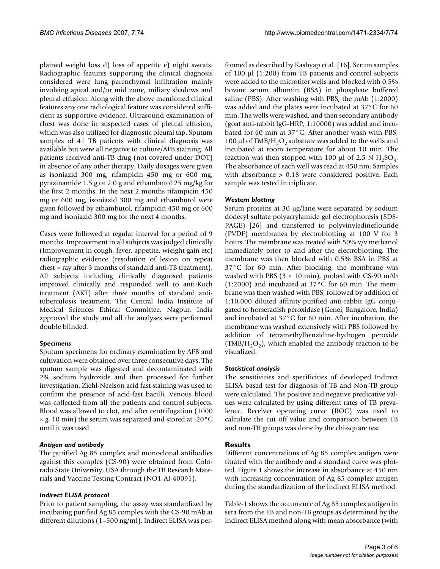plained weight loss d) loss of appetite e) night sweats. Radiographic features supporting the clinical diagnosis considered were lung parenchymal infiltration mainly involving apical and/or mid zone, miliary shadows and pleural effusion. Along with the above mentioned clinical features any one radiological feature was considered sufficient as supportive evidence. Ultrasound examination of chest was done in suspected cases of pleural effusion, which was also utilized for diagnostic pleural tap. Sputum samples of 41 TB patients with clinical diagnosis was available but were all negative to culture/AFB staining. All patients received anti-TB drug (not covered under DOT) in absence of any other therapy. Daily dosages were given as isoniazid 300 mg, rifampicin 450 mg or 600 mg, pyrazinamide 1.5 g or 2.0 g and ethambutol 25 mg/kg for the first 2 months. In the next 2 months rifampicin 450 mg or 600 mg, isoniazid 300 mg and ethambutol were given followed by ethambutol, rifampicin 450 mg or 600 mg and isoniazid 300 mg for the next 4 months.

Cases were followed at regular interval for a period of 9 months. Improvement in all subjects was judged clinically (Improvement in cough, fever, appetite, wieight gain etc) radiographic evidence (resolution of lesion on repeat chest × ray after 3 months of standard anti-TB treatment). All subjects including clinically diagnosed patients improved clinically and responded well to anti-Koch treatment (AKT) after three months of standard antituberculosis treatment. The Central India Institute of Medical Sciences Ethical Committee, Nagpur, India approved the study and all the analyses were performed double blinded.

# *Specimens*

Sputum specimens for ordinary examination by AFB and cultivation were obtained over three consecutive days. The sputum sample was digested and decontaminated with 2% sodium hydroxide and then processed for further investigation. Ziehl-Neelson acid fast staining was used to confirm the presence of acid-fast bacilli. Venous blood was collected from all the patients and control subjects. Blood was allowed to clot, and after centrifugation (1000 × *g*, 10 min) the serum was separated and stored at -20°C until it was used.

# *Antigen and antibody*

The purified Ag 85 complex and monoclonal antibodies against this complex (CS-90) were obtained from Colorado State University, USA through the TB Research Materials and Vaccine Testing Contract (NO1-AI-40091).

# *Indirect ELISA protocol*

Prior to patient sampling, the assay was standardized by incubating purified Ag 85 complex with the CS-90 mAb at different dilutions (1–500 ng/ml). Indirect ELISA was performed as described by Kashyap et al. [16]. Serum samples of 100 µl (1:200) from TB patients and control subjects were added to the microtiter wells and blocked with 0.5% bovine serum albumin (BSA) in phosphate buffered saline (PBS). After washing with PBS, the mAb (1:2000) was added and the plates were incubated at 37°C for 60 min. The wells were washed, and then secondary antibody (goat anti-rabbit IgG-HRP, 1:10000) was added and incubated for 60 min at 37°C. After another wash with PBS, 100 µl of TMB/H<sub>2</sub>O<sub>2</sub> substrate was added to the wells and incubated at room temperature for about 10 min. The reaction was then stopped with 100  $\mu$ l of 2.5 N H<sub>2</sub>SO<sub>4</sub>. The absorbance of each well was read at 450 nm. Samples with absorbance > 0.18 were considered positive. Each sample was tested in triplicate.

# *Western blotting*

Serum proteins at 30 µg/lane were separated by sodium dodecyl sulfate polyacrylamide gel electrophoresis (SDS-PAGE) [26] and transferred to polyvinyledineflouride (PVDF) membranes by electroblotting at 100 V for 3 hours. The membrane was treated with 50% v/v methanol immediately prior to and after the electroblotting. The membrane was then blocked with 0.5% BSA in PBS at 37°C for 60 min. After blocking, the membrane was washed with PBS ( $3 \times 10$  min), probed with CS-90 mAb (1:2000) and incubated at 37°C for 60 min. The membrane was then washed with PBS, followed by addition of 1:10,000 diluted affinity-purified anti-rabbit IgG conjugated to horseradish peroxidase (Genei, Bangalore, India) and incubated at 37°C for 60 min. After incubation, the membrane was washed extensively with PBS followed by addition of tetramethylbenzidine-hydrogen peroxide  $(TMB/H<sub>2</sub>O<sub>2</sub>)$ , which enabled the antibody reaction to be visualized.

# *Statistical analysis*

The sensitivities and specificities of developed Indirect ELISA based test for diagnosis of TB and Non-TB group were calculated. The positive and negative predicative values were calculated by using different rates of TB prevalence. Receiver operating curve (ROC) was used to calculate the cut off value and comparison between TB and non-TB groups was done by the chi-square test.

# **Results**

Different concentrations of Ag 85 complex antigen were titrated with the antibody and a standard curve was plotted. Figure 1 shows the increase in absorbance at 450 nm with increasing concentration of Ag 85 complex antigen during the standardization of the indirect ELISA method.

Table-1 shows the occurrence of Ag 85 complex antigen in sera from the TB and non-TB groups as determined by the indirect ELISA method along with mean absorbance (with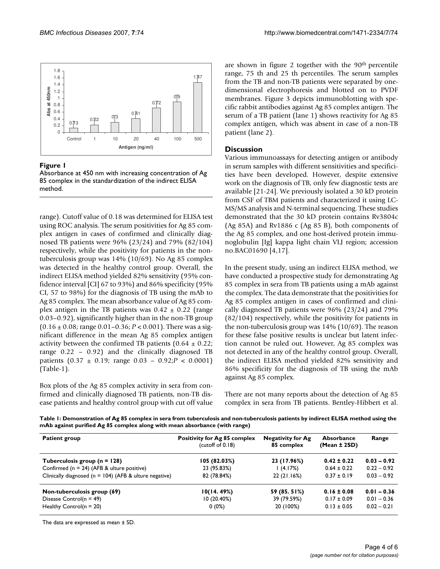

# Figure 1

Absorbance at 450 nm with increasing concentration of Ag 85 complex in the standardization of the indirect ELISA method.

range). Cutoff value of 0.18 was determined for ELISA test using ROC analysis. The serum positivities for Ag 85 complex antigen in cases of confirmed and clinically diagnosed TB patients were 96% (23/24) and 79% (82/104) respectively, while the positivity for patients in the nontuberculosis group was 14% (10/69). No Ag 85 complex was detected in the healthy control group. Overall, the indirect ELISA method yielded 82% sensitivity (95% confidence interval [CI] 67 to 93%) and 86% specificity (95% CI, 57 to 98%) for the diagnosis of TB using the mAb to Ag 85 complex. The mean absorbance value of Ag 85 complex antigen in the TB patients was  $0.42 \pm 0.22$  (range 0.03–0.92), significantly higher than in the non-TB group (0.16 ± 0.08; range 0.01–0.36; *P* < 0.001). There was a significant difference in the mean Ag 85 complex antigen activity between the confirmed TB patients  $(0.64 \pm 0.22)$ ; range 0.22 – 0.92) and the clinically diagnosed TB patients (0.37 ± 0.19; range 0.03 – 0.92;*P* < 0.0001) (Table-1).

Box plots of the Ag 85 complex activity in sera from confirmed and clinically diagnosed TB patients, non-TB disease patients and healthy control group with cut off value are shown in figure 2 together with the 90<sup>th</sup> percentile range, 75 th and 25 th percentiles. The serum samples from the TB and non-TB patients were separated by onedimensional electrophoresis and blotted on to PVDF membranes. Figure 3 depicts immunoblotting with specific rabbit antibodies against Ag 85 complex antigen. The serum of a TB patient (lane 1) shows reactivity for Ag 85 complex antigen, which was absent in case of a non-TB patient (lane 2).

# **Discussion**

Various immunoassays for detecting antigen or antibody in serum samples with different sensitivities and specificities have been developed. However, despite extensive work on the diagnosis of TB, only few diagnostic tests are available [21-24]. We previously isolated a 30 kD protein from CSF of TBM patients and characterized it using LC-MS/MS analysis and N-terminal sequencing. These studies demonstrated that the 30 kD protein contains Rv3804c (Ag 85A) and Rv1886 c (Ag 85 B), both components of the Ag 85 complex, and one host-derived protein immunoglobulin [Ig] kappa light chain VLJ region; accession no.BAC01690 [4,17].

In the present study, using an indirect ELISA method, we have conducted a prospective study for demonstrating Ag 85 complex in sera from TB patients using a mAb against the complex. The data demonstrate that the positivities for Ag 85 complex antigen in cases of confirmed and clinically diagnosed TB patients were 96% (23/24) and 79% (82/104) respectively, while the positivity for patients in the non-tuberculosis group was 14% (10/69). The reason for these false positive results is unclear but latent infection cannot be ruled out. However, Ag 85 complex was not detected in any of the healthy control group. Overall, the indirect ELISA method yielded 82% sensitivity and 86% specificity for the diagnosis of TB using the mAb against Ag 85 complex.

There are not many reports about the detection of Ag 85 complex in sera from TB patients. Bentley-Hibbert et al.

**Table 1: Demonstration of Ag 85 complex in sera from tuberculosis and non-tuberculosis patients by indirect ELISA method using the mAb against purified Ag 85 complex along with mean absorbance (with range)**

| <b>Patient group</b>                                       | Positivity for Ag 85 complex<br>(cutoff of 0.18) | <b>Negativity for Ag</b><br>85 complex | Absorbance<br>$(Mean \pm 2SD)$ | Range         |
|------------------------------------------------------------|--------------------------------------------------|----------------------------------------|--------------------------------|---------------|
| Tuberculosis group ( $n = 128$ )                           | 105 (82.03%)                                     | 23 (17.96%)                            | $0.42 \pm 0.22$                | $0.03 - 0.92$ |
| Confirmed ( $n = 24$ ) (AFB & ulture positive)             | 23 (95.83%)                                      | l (4.17%)                              | $0.64 \pm 0.22$                | $0.22 - 0.92$ |
| Clinically diagnosed ( $n = 104$ ) (AFB & ulture negative) | 82 (78.84%)                                      | 22(21.16%)                             | $0.37 \pm 0.19$                | $0.03 - 0.92$ |
| Non-tuberculosis group (69)                                | 10(14.49%)                                       | 59 (85. 51%)                           | $0.16 \pm 0.08$                | $0.01 - 0.36$ |
| Disease Control( $n = 49$ )                                | 10(20.40%)                                       | 39 (79.59%)                            | $0.17 \pm 0.09$                | $0.01 - 0.36$ |
| Healthy Control( $n = 20$ )                                | $0(0\%)$                                         | 20 (100%)                              | $0.13 \pm 0.05$                | $0.02 - 0.21$ |

The data are expressed as mean ± SD.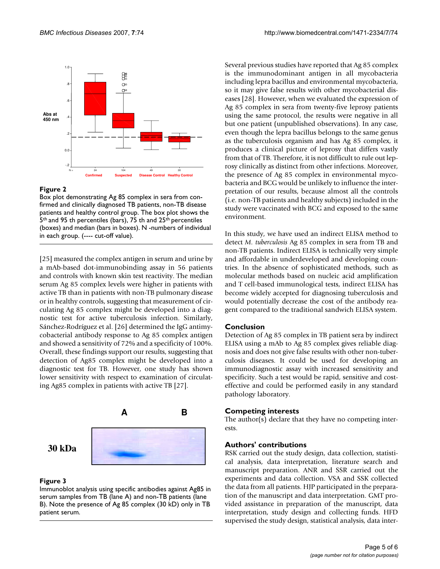

# Figure 2

Box plot demonstrating Ag 85 complex in sera from confirmed and clinically diagnosed TB patients, non-TB disease patients and healthy control group. The box plot shows the 5<sup>th</sup> and 95 th percentiles (bars), 75 th and 25<sup>th</sup> percentiles (boxes) and median (bars in boxes). N -numbers of individual in each group. (---- cut-off value).

[25] measured the complex antigen in serum and urine by a mAb-based dot-immunobinding assay in 56 patients and controls with known skin test reactivity. The median serum Ag 85 complex levels were higher in patients with active TB than in patients with non-TB pulmonary disease or in healthy controls, suggesting that measurement of circulating Ag 85 complex might be developed into a diagnostic test for active tuberculosis infection. Similarly, Sánchez-Rodríguez et al. [26] determined the IgG antimycobacterial antibody response to Ag 85 complex antigen and showed a sensitivity of 72% and a specificity of 100%. Overall, these findings support our results, suggesting that detection of Ag85 complex might be developed into a diagnostic test for TB. However, one study has shown lower sensitivity with respect to examination of circulating Ag85 complex in patients with active TB [27].



# Figure 3

Immunoblot analysis using specific antibodies against Ag85 in serum samples from TB (lane A) and non-TB patients (lane B). Note the presence of Ag 85 complex (30 kD) only in TB patient serum.

Several previous studies have reported that Ag 85 complex is the immunodominant antigen in all mycobacteria including lepra bacillus and environmental mycobacteria, so it may give false results with other mycobacterial diseases [28]. However, when we evaluated the expression of Ag 85 complex in sera from twenty-five leprosy patients using the same protocol, the results were negative in all but one patient (unpublished observations). In any case, even though the lepra bacillus belongs to the same genus as the tuberculosis organism and has Ag 85 complex, it produces a clinical picture of leprosy that differs vastly from that of TB. Therefore, it is not difficult to rule out leprosy clinically as distinct from other infections. Moreover, the presence of Ag 85 complex in environmental mycobacteria and BCG would be unlikely to influence the interpretation of our results, because almost all the controls (i.e. non-TB patients and healthy subjects) included in the study were vaccinated with BCG and exposed to the same environment.

In this study, we have used an indirect ELISA method to detect *M. tuberculosis* Ag 85 complex in sera from TB and non-TB patients. Indirect ELISA is technically very simple and affordable in underdeveloped and developing countries. In the absence of sophisticated methods, such as molecular methods based on nucleic acid amplification and T cell-based immunological tests, indirect ELISA has become widely accepted for diagnosing tuberculosis and would potentially decrease the cost of the antibody reagent compared to the traditional sandwich ELISA system.

# **Conclusion**

Detection of Ag 85 complex in TB patient sera by indirect ELISA using a mAb to Ag 85 complex gives reliable diagnosis and does not give false results with other non-tuberculosis diseases. It could be used for developing an immunodiagnostic assay with increased sensitivity and specificity. Such a test would be rapid, sensitive and costeffective and could be performed easily in any standard pathology laboratory.

# **Competing interests**

The author(s) declare that they have no competing interests.

# **Authors' contributions**

RSK carried out the study design, data collection, statistical analysis, data interpretation, literature search and manuscript preparation. ANR and SSR carried out the experiments and data collection. VSA and SSK collected the data from all patients. HJP participated in the preparation of the manuscript and data interpretation. GMT provided assistance in preparation of the manuscript, data interpretation, study design and collecting funds. HFD supervised the study design, statistical analysis, data inter